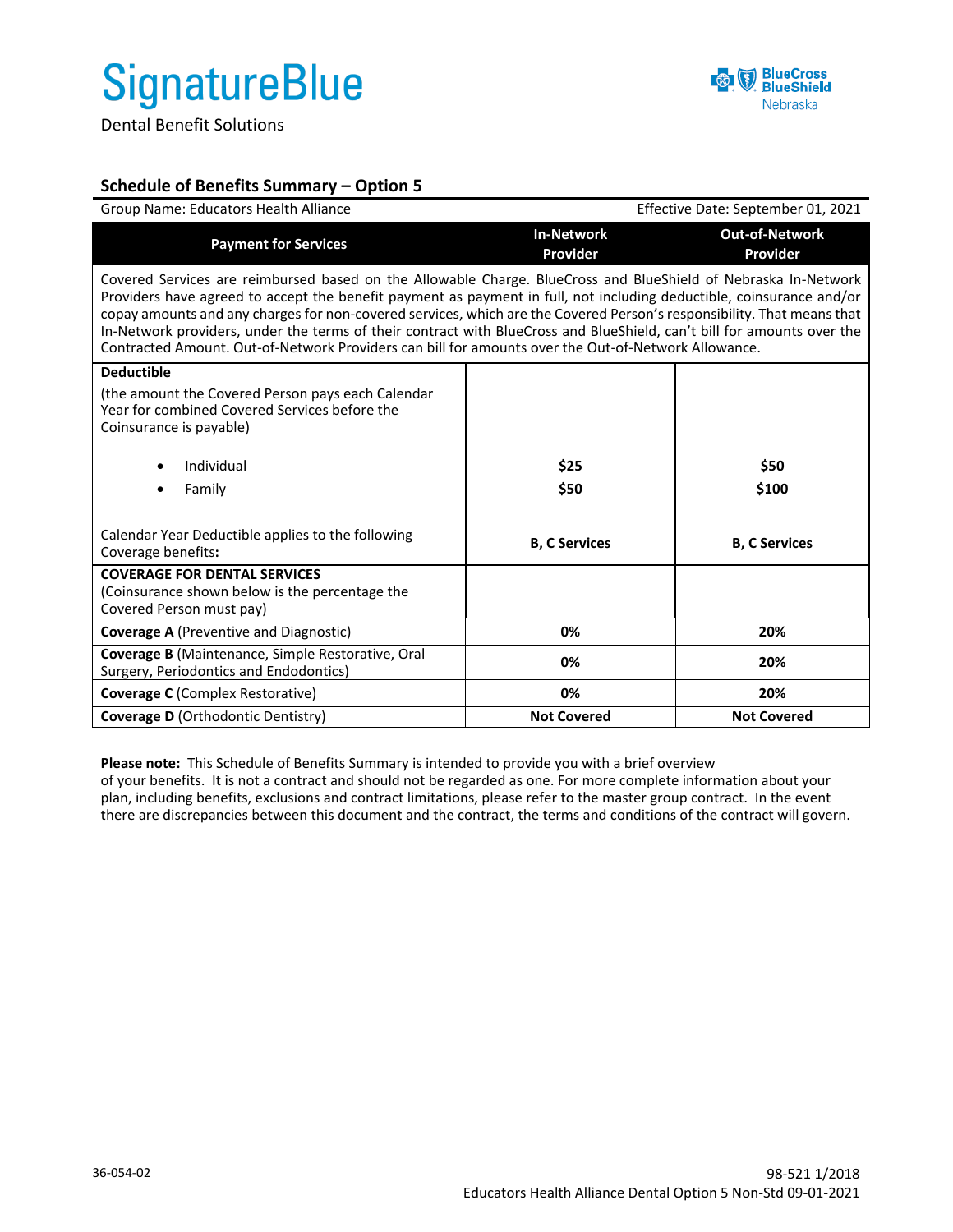## **SignatureBlue**

Dental Benefit Solutions



## **Schedule of Benefits Summary – Option 5**

| Group Name: Educators Health Alliance                                                                                                                                                                                                                                                                                                                                                                                                                                                                                                                                                             | Effective Date: September 01, 2021 |                                   |  |  |
|---------------------------------------------------------------------------------------------------------------------------------------------------------------------------------------------------------------------------------------------------------------------------------------------------------------------------------------------------------------------------------------------------------------------------------------------------------------------------------------------------------------------------------------------------------------------------------------------------|------------------------------------|-----------------------------------|--|--|
| <b>Payment for Services</b>                                                                                                                                                                                                                                                                                                                                                                                                                                                                                                                                                                       | <b>In-Network</b><br>Provider      | <b>Out-of-Network</b><br>Provider |  |  |
| Covered Services are reimbursed based on the Allowable Charge. BlueCross and BlueShield of Nebraska In-Network<br>Providers have agreed to accept the benefit payment as payment in full, not including deductible, coinsurance and/or<br>copay amounts and any charges for non-covered services, which are the Covered Person's responsibility. That means that<br>In-Network providers, under the terms of their contract with BlueCross and BlueShield, can't bill for amounts over the<br>Contracted Amount. Out-of-Network Providers can bill for amounts over the Out-of-Network Allowance. |                                    |                                   |  |  |
| <b>Deductible</b><br>(the amount the Covered Person pays each Calendar<br>Year for combined Covered Services before the<br>Coinsurance is payable)<br>Individual<br>$\bullet$<br>Family                                                                                                                                                                                                                                                                                                                                                                                                           | \$25<br>\$50                       | \$50<br>\$100                     |  |  |
| Calendar Year Deductible applies to the following<br>Coverage benefits:                                                                                                                                                                                                                                                                                                                                                                                                                                                                                                                           | <b>B. C Services</b>               | <b>B. C Services</b>              |  |  |
| <b>COVERAGE FOR DENTAL SERVICES</b><br>(Coinsurance shown below is the percentage the<br>Covered Person must pay)                                                                                                                                                                                                                                                                                                                                                                                                                                                                                 |                                    |                                   |  |  |
| <b>Coverage A</b> (Preventive and Diagnostic)                                                                                                                                                                                                                                                                                                                                                                                                                                                                                                                                                     | 0%                                 | 20%                               |  |  |
| Coverage B (Maintenance, Simple Restorative, Oral<br>Surgery, Periodontics and Endodontics)                                                                                                                                                                                                                                                                                                                                                                                                                                                                                                       | 0%                                 | 20%                               |  |  |
| <b>Coverage C</b> (Complex Restorative)                                                                                                                                                                                                                                                                                                                                                                                                                                                                                                                                                           | 0%                                 | 20%                               |  |  |
| <b>Coverage D</b> (Orthodontic Dentistry)                                                                                                                                                                                                                                                                                                                                                                                                                                                                                                                                                         | <b>Not Covered</b>                 | <b>Not Covered</b>                |  |  |

**Please note:** This Schedule of Benefits Summary is intended to provide you with a brief overview of your benefits. It is not a contract and should not be regarded as one. For more complete information about your plan, including benefits, exclusions and contract limitations, please refer to the master group contract. In the event there are discrepancies between this document and the contract, the terms and conditions of the contract will govern.